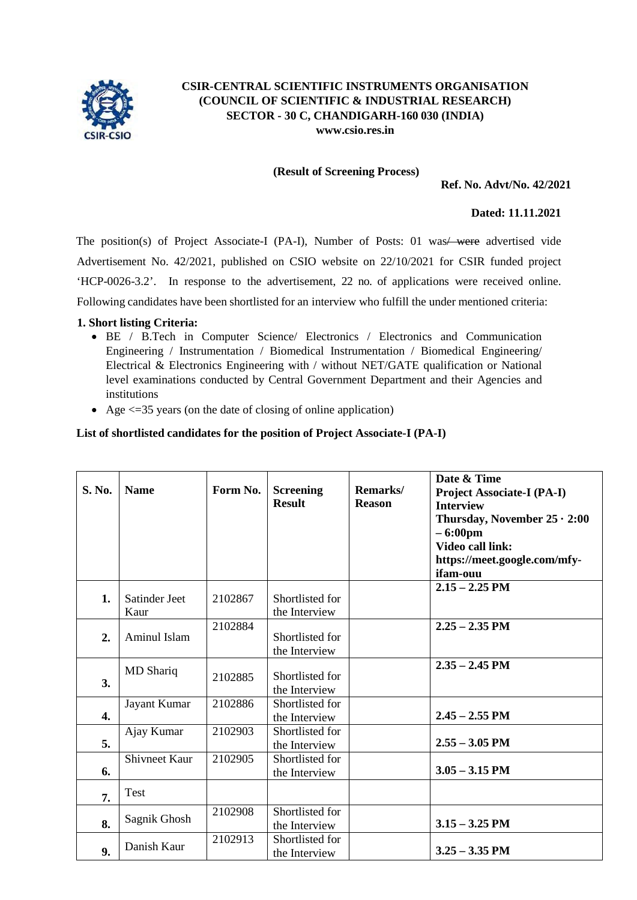

#### **CSIR-CENTRAL SCIENTIFIC INSTRUMENTS ORGANISATION (COUNCIL OF SCIENTIFIC & INDUSTRIAL RESEARCH) SECTOR - 30 C, CHANDIGARH-160 030 (INDIA) [www.csio.res.in](http://www.csio.res.in/)**

#### **(Result of Screening Process)**

#### **Ref. No. Advt/No. 42/2021**

#### **Dated: 11.11.2021**

The position(s) of Project Associate-I (PA-I), Number of Posts: 01 was / were advertised vide Advertisement No. 42/2021, published on CSIO website on 22/10/2021 for CSIR funded project 'HCP-0026-3.2'. In response to the advertisement, 22 no. of applications were received online. Following candidates have been shortlisted for an interview who fulfill the under mentioned criteria:

#### **1. Short listing Criteria:**

- BE / B.Tech in Computer Science/ Electronics / Electronics and Communication Engineering / Instrumentation / Biomedical Instrumentation / Biomedical Engineering/ Electrical & Electronics Engineering with / without NET/GATE qualification or National level examinations conducted by Central Government Department and their Agencies and institutions
- Age  $\leq$  =35 years (on the date of closing of online application)

### **List of shortlisted candidates for the position of Project Associate-I (PA-I)**

| S. No.           | <b>Name</b>           | Form No. | <b>Screening</b><br><b>Result</b> | Remarks/<br><b>Reason</b> | Date & Time<br><b>Project Associate-I (PA-I)</b><br><b>Interview</b><br>Thursday, November $25 \cdot 2:00$<br>$-6:00 \text{pm}$<br><b>Video call link:</b><br>https://meet.google.com/mfy-<br>ifam-ouu |
|------------------|-----------------------|----------|-----------------------------------|---------------------------|--------------------------------------------------------------------------------------------------------------------------------------------------------------------------------------------------------|
| 1.               | Satinder Jeet<br>Kaur | 2102867  | Shortlisted for<br>the Interview  |                           | $2.15 - 2.25$ PM                                                                                                                                                                                       |
| 2.               | Aminul Islam          | 2102884  | Shortlisted for<br>the Interview  |                           | $2.25 - 2.35$ PM                                                                                                                                                                                       |
| 3.               | MD Shariq             | 2102885  | Shortlisted for<br>the Interview  |                           | $2.35 - 2.45$ PM                                                                                                                                                                                       |
| $\overline{4}$ . | Jayant Kumar          | 2102886  | Shortlisted for<br>the Interview  |                           | $2.45 - 2.55$ PM                                                                                                                                                                                       |
| 5.               | Ajay Kumar            | 2102903  | Shortlisted for<br>the Interview  |                           | $2.55 - 3.05$ PM                                                                                                                                                                                       |
| 6.               | <b>Shivneet Kaur</b>  | 2102905  | Shortlisted for<br>the Interview  |                           | $3.05 - 3.15$ PM                                                                                                                                                                                       |
| 7.               | Test                  |          |                                   |                           |                                                                                                                                                                                                        |
| 8.               | Sagnik Ghosh          | 2102908  | Shortlisted for<br>the Interview  |                           | $3.15 - 3.25$ PM                                                                                                                                                                                       |
| 9.               | Danish Kaur           | 2102913  | Shortlisted for<br>the Interview  |                           | $3.25 - 3.35$ PM                                                                                                                                                                                       |